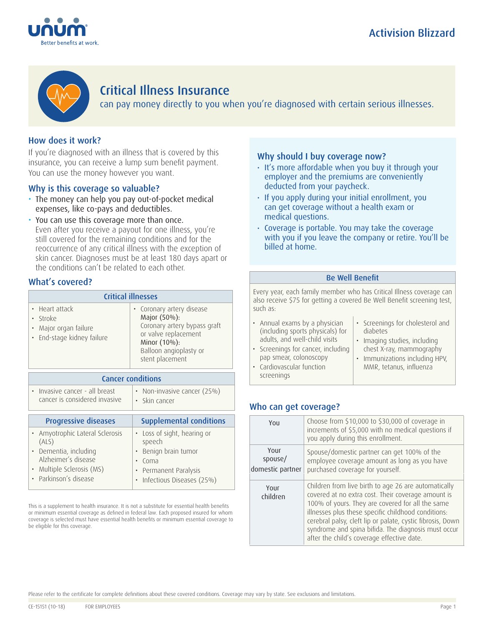



# Critical Illness Insurance

can pay money directly to you when you're diagnosed with certain serious illnesses.

## How does it work?

If you're diagnosed with an illness that is covered by this insurance, you can receive a lump sum benefit payment. You can use the money however you want.

## Why is this coverage so valuable?

- The money can help you pay out-of-pocket medical expenses, like co-pays and deductibles.
- You can use this coverage more than once. Even after you receive a payout for one illness, you're still covered for the remaining conditions and for the reoccurrence of any critical illness with the exception of skin cancer. Diagnoses must be at least 180 days apart or the conditions can't be related to each other.

## What's covered?

| <b>Critical illnesses</b>                                                         |                                                                                                                                                                |  |
|-----------------------------------------------------------------------------------|----------------------------------------------------------------------------------------------------------------------------------------------------------------|--|
| • Heart attack<br>· Stroke<br>• Major organ failure<br>• End-stage kidney failure | • Coronary artery disease<br>Major (50%):<br>Coronary artery bypass graft<br>or valve replacement<br>Minor (10%):<br>Balloon angioplasty or<br>stent placement |  |

|                                                                 | <b>Cancer conditions</b>                                                                                                                     |                                                                                                                                                        |  |
|-----------------------------------------------------------------|----------------------------------------------------------------------------------------------------------------------------------------------|--------------------------------------------------------------------------------------------------------------------------------------------------------|--|
| • Invasive cancer - all breast<br>cancer is considered invasive |                                                                                                                                              | • Non-invasive cancer (25%)<br>• Skin cancer                                                                                                           |  |
|                                                                 | <b>Progressive diseases</b>                                                                                                                  | <b>Supplemental conditions</b>                                                                                                                         |  |
|                                                                 | • Amyotrophic Lateral Sclerosis<br>(ALS)<br>· Dementia, including<br>Alzheimer's disease<br>Multiple Sclerosis (MS)<br>• Parkinson's disease | • Loss of sight, hearing or<br>speech<br>Benign brain tumor<br>$\bullet$<br>Coma<br>Permanent Paralysis<br>٠<br>Infectious Diseases (25%)<br>$\bullet$ |  |

This is a supplement to health insurance. It is not a substitute for essential health benefits or minimum essential coverage as defined in federal law. Each proposed insured for whom coverage is selected must have essential health benefits or minimum essential coverage to be eligible for this coverage.

### Why should I buy coverage now?

- It's more affordable when you buy it through your employer and the premiums are conveniently deducted from your paycheck.
- If you apply during your initial enrollment, you can get coverage without a health exam or medical questions.
- Coverage is portable. You may take the coverage with you if you leave the company or retire. You'll be billed at home.

### Be Well Benefit

Every year, each family member who has Critical Illness coverage can also receive \$75 for getting a covered Be Well Benefit screening test, such as:

| • Annual exams by a physician      | • Screenings for cholesterol and |
|------------------------------------|----------------------------------|
| (including sports physicals) for   | diabetes                         |
| adults, and well-child visits      | · Imaging studies, including     |
| · Screenings for cancer, including | chest X-ray, mammography         |
| pap smear, colonoscopy             | • Immunizations including HPV,   |
|                                    |                                  |

MMR, tetanus, influenza

• Cardiovascular function screenings

## Who can get coverage?

| You                                 | Choose from \$10,000 to \$30,000 of coverage in<br>increments of \$5,000 with no medical questions if<br>you apply during this enrollment.                                                                                                                                                                                                                                               |  |
|-------------------------------------|------------------------------------------------------------------------------------------------------------------------------------------------------------------------------------------------------------------------------------------------------------------------------------------------------------------------------------------------------------------------------------------|--|
| Your<br>spouse/<br>domestic partner | Spouse/domestic partner can get 100% of the<br>employee coverage amount as long as you have<br>purchased coverage for yourself.                                                                                                                                                                                                                                                          |  |
| Your<br>children                    | Children from live birth to age 26 are automatically<br>covered at no extra cost. Their coverage amount is<br>100% of yours. They are covered for all the same<br>illnesses plus these specific childhood conditions:<br>cerebral palsy, cleft lip or palate, cystic fibrosis, Down<br>syndrome and spina bifida. The diagnosis must occur<br>after the child's coverage effective date. |  |

Please refer to the certificate for complete definitions about these covered conditions. Coverage may vary by state. See exclusions and limitations.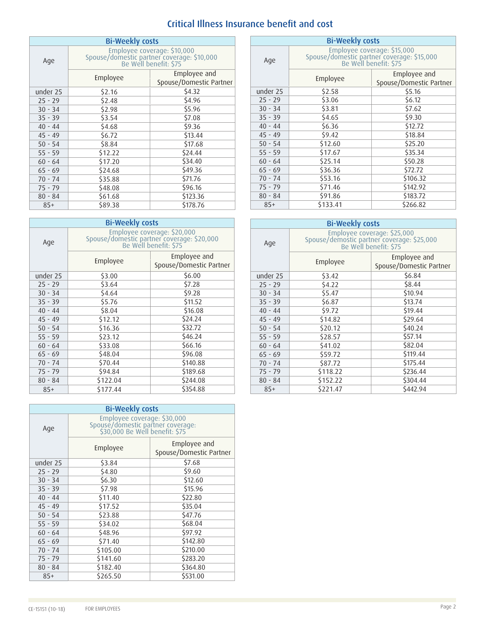# Critical Illness Insurance benefit and cost

| <b>Bi-Weekly costs</b> |                                                                                                    |                                         |  |
|------------------------|----------------------------------------------------------------------------------------------------|-----------------------------------------|--|
| Age                    | Employee coverage: \$10,000<br>Spouse/domestic partner coverage: \$10,000<br>Be Well benefit: \$75 |                                         |  |
|                        | Employee                                                                                           | Employee and<br>Spouse/Domestic Partner |  |
| under 25               | \$2.16                                                                                             | \$4.32                                  |  |
| $25 - 29$              | \$2.48                                                                                             | \$4.96                                  |  |
| $30 - 34$              | \$2.98                                                                                             | \$5.96                                  |  |
| $35 - 39$              | \$3.54                                                                                             | \$7.08                                  |  |
| $40 - 44$              | \$4.68                                                                                             | \$9.36                                  |  |
| $45 - 49$              | \$6.72                                                                                             | \$13.44                                 |  |
| $50 - 54$              | \$8.84                                                                                             | \$17.68                                 |  |
| $55 - 59$              | \$12.22                                                                                            | \$24.44                                 |  |
| $60 - 64$              | \$17.20                                                                                            | \$34.40                                 |  |
| $65 - 69$              | \$24.68                                                                                            | \$49.36                                 |  |
| $70 - 74$              | \$35.88                                                                                            | \$71.76                                 |  |
| $75 - 79$              | \$48.08                                                                                            | \$96.16                                 |  |
| $80 - 84$              | \$61.68                                                                                            | \$123.36                                |  |
| $85+$                  | \$89.38                                                                                            | \$178.76                                |  |

| <b>Bi-Weekly costs</b> |                                                                                                    |                                         | <b>Bi-Weekly costs</b> |                                                                        |                               |
|------------------------|----------------------------------------------------------------------------------------------------|-----------------------------------------|------------------------|------------------------------------------------------------------------|-------------------------------|
| Age                    | Employee coverage: \$20,000<br>Spouse/domestic partner coverage: \$20,000<br>Be Well benefit: \$75 |                                         | Age                    | Employee coverage: \$25,000<br>Spouse/demostic partner coverage: \$25, |                               |
|                        | Employee                                                                                           | Employee and<br>Spouse/Domestic Partner |                        | Employee                                                               | Employee a<br>Spouse/Domestic |
| under 25               | \$3.00                                                                                             | \$6.00\$                                | under 25               | \$3.42                                                                 | \$6.84                        |
| $25 - 29$              | \$3.64                                                                                             | \$7.28                                  | $25 - 29$              | \$4.22                                                                 | \$8.44                        |
| $30 - 34$              | \$4.64                                                                                             | \$9.28                                  | $30 - 34$              | \$5.47                                                                 | \$10.94                       |
| $35 - 39$              | \$5.76                                                                                             | \$11.52                                 | $35 - 39$              | \$6.87                                                                 | \$13.74                       |
| $40 - 44$              | \$8.04                                                                                             | \$16.08                                 | $40 - 44$              | \$9.72                                                                 | \$19.44                       |
| $45 - 49$              | \$12.12                                                                                            | \$24.24                                 | $45 - 49$              | \$14.82                                                                | \$29.64                       |
| $50 - 54$              | \$16.36                                                                                            | \$32.72                                 | $50 - 54$              | \$20.12                                                                | \$40.24                       |
| $55 - 59$              | \$23.12                                                                                            | \$46.24                                 | $55 - 59$              | \$28.57                                                                | \$57.14                       |
| $60 - 64$              | \$33.08                                                                                            | \$66.16                                 | $60 - 64$              | \$41.02                                                                | \$82.04                       |
| $65 - 69$              | \$48.04                                                                                            | \$96.08                                 | $65 - 69$              | \$59.72                                                                | \$119.44                      |
| $70 - 74$              | \$70.44                                                                                            | \$140.88                                | $70 - 74$              | \$87.72                                                                | \$175.44                      |
| $75 - 79$              | \$94.84                                                                                            | \$189.68                                | $75 - 79$              | \$118.22                                                               | \$236.44                      |
| $80 - 84$              | \$122.04                                                                                           | \$244.08                                | $80 - 84$              | \$152.22                                                               | \$304.44                      |
| $85+$                  | \$177.44                                                                                           | \$354.88                                | $85+$                  | \$221.47                                                               | \$442.94                      |

| <b>Bi-Weekly costs</b> |                                                                                                    |                                         |  |
|------------------------|----------------------------------------------------------------------------------------------------|-----------------------------------------|--|
| Age                    | Employee coverage: \$30,000<br>Spouse/domestic partner coverage:<br>\$30,000 Be Well benefit: \$75 |                                         |  |
|                        | Employee                                                                                           | Employee and<br>Spouse/Domestic Partner |  |
| under 25               | \$3.84                                                                                             | \$7.68                                  |  |
| $25 - 29$              | \$4.80                                                                                             | \$9.60                                  |  |
| $30 - 34$              | \$6.30                                                                                             | \$12.60                                 |  |
| $35 - 39$              | \$7.98                                                                                             | \$15.96                                 |  |
| $40 - 44$              | \$11.40                                                                                            | \$22.80                                 |  |
| $45 - 49$              | \$17.52                                                                                            | \$35.04                                 |  |
| $50 - 54$              | \$23.88                                                                                            | \$47.76                                 |  |
| $55 - 59$              | \$34.02                                                                                            | \$68.04                                 |  |
| $60 - 64$              | \$48.96                                                                                            | \$97.92                                 |  |
| $65 - 69$              | \$71.40                                                                                            | \$142.80                                |  |
| $70 - 74$              | \$105.00                                                                                           | \$210.00                                |  |
| $75 - 79$              | \$141.60                                                                                           | \$283.20                                |  |
| $80 - 84$              | \$182.40                                                                                           | \$364.80                                |  |
| $85+$                  | \$265.50                                                                                           | \$531.00                                |  |

| <b>Bi-Weekly costs</b> |                                                                                                    |                                         |  |
|------------------------|----------------------------------------------------------------------------------------------------|-----------------------------------------|--|
| Age                    | Employee coverage: \$15,000<br>Spouse/domestic partner coverage: \$15,000<br>Be Well benefit: \$75 |                                         |  |
|                        | Employee                                                                                           | Employee and<br>Spouse/Domestic Partner |  |
| under 25               | \$2.58                                                                                             | \$5.16                                  |  |
| $25 - 29$              | \$3.06                                                                                             | 56.12                                   |  |
| $30 - 34$              | \$3.81                                                                                             | \$7.62                                  |  |
| $35 - 39$              | \$4.65                                                                                             | \$9.30                                  |  |
| $40 - 44$              | \$6.36                                                                                             | \$12.72                                 |  |
| $45 - 49$              | \$9.42                                                                                             | \$18.84                                 |  |
| $50 - 54$              | \$12.60                                                                                            | \$25.20                                 |  |
| $55 - 59$              | \$17.67                                                                                            | \$35.34                                 |  |
| $60 - 64$              | \$25.14                                                                                            | \$50.28                                 |  |
| $65 - 69$              | \$36.36                                                                                            | \$72.72                                 |  |
| $70 - 74$              | \$53.16                                                                                            | \$106.32                                |  |
| $75 - 79$              | \$71.46                                                                                            | \$142.92                                |  |
| $80 - 84$              | \$91.86                                                                                            | \$183.72                                |  |
| $85+$                  | \$133.41                                                                                           | \$266.82                                |  |

| <b>Bi-Weekly costs</b> |                                                                                                    |                                         |  |
|------------------------|----------------------------------------------------------------------------------------------------|-----------------------------------------|--|
| Age                    | Employee coverage: \$25,000<br>Spouse/demostic partner coverage: \$25,000<br>Be Well benefit: \$75 |                                         |  |
|                        | Employee                                                                                           | Employee and<br>Spouse/Domestic Partner |  |
| under 25               | \$3.42                                                                                             | \$6.84                                  |  |
| $25 - 29$              | \$4.22                                                                                             | \$8.44                                  |  |
| $30 - 34$              | \$5.47                                                                                             | \$10.94                                 |  |
| $35 - 39$              | \$6.87                                                                                             | \$13.74                                 |  |
| $40 - 44$              | \$9.72                                                                                             | \$19.44                                 |  |
| $45 - 49$              | \$14.82                                                                                            | \$29.64                                 |  |
| $50 - 54$              | \$20.12                                                                                            | \$40.24                                 |  |
| $55 - 59$              | \$28.57                                                                                            | \$57.14                                 |  |
| $60 - 64$              | \$41.02                                                                                            | \$82.04                                 |  |
| $65 - 69$              | \$59.72                                                                                            | \$119.44                                |  |
| $70 - 74$              | \$87.72                                                                                            | \$175.44                                |  |
| $75 - 79$              | \$118.22                                                                                           | \$236.44                                |  |
| $80 - 84$              | \$152.22                                                                                           | \$304.44                                |  |
| $85+$                  | \$221.47                                                                                           | \$442.94                                |  |